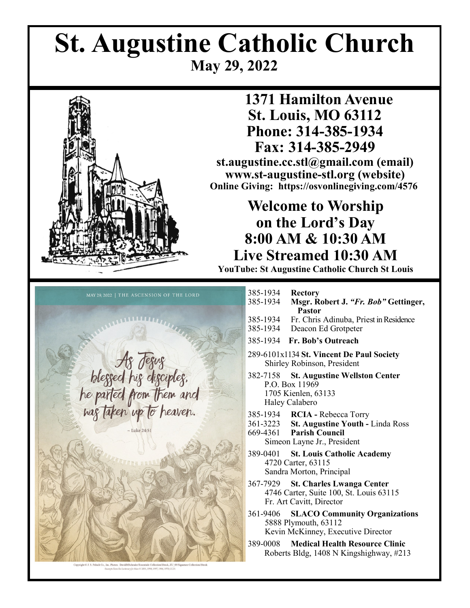# **St. Augustine Catholic Church May 29, 2022**



## **1371 Hamilton Avenue St. Louis, MO 63112 Phone: 314-385-1934 Fax: 314-385-2949**

**st.augustine.cc.stl@gmail.com (email) www.st-augustine-stl.org (website) Online Giving: https://osvonlinegiving.com/4576**

## **Welcome to Worship on the Lord's Day 8:00 AM & 10:30 AM Live Streamed 10:30 AM**

**YouTube: St Augustine Catholic Church St Louis**



| 385-1934<br>385-1934 | <b>Rectory</b><br>Msgr. Robert J. "Fr. Bob" Gettinger,<br>Pastor                                                                     |
|----------------------|--------------------------------------------------------------------------------------------------------------------------------------|
| 385-1934<br>385-1934 | Fr. Chris Adinuba, Priest in Residence<br>Deacon Ed Grotpeter                                                                        |
| 385-1934             | <b>Fr. Bob's Outreach</b>                                                                                                            |
|                      | 289-6101x1134 St. Vincent De Paul Society<br>Shirley Robinson, President                                                             |
| 382-7158             | <b>St. Augustine Wellston Center</b><br>P.O. Box 11969<br>1705 Kienlen, 63133<br>Haley Calabero                                      |
|                      | 385-1934 RCIA - Rebecca Torry<br>361-3223 St. Augustine Youth - Linda Ross<br>669-4361 Parish Council<br>Simeon Layne Jr., President |
|                      | 389-0401 St. Louis Catholic Academy<br>4720 Carter, 63115<br>Sandra Morton, Principal                                                |
| 367-7929             | <b>St. Charles Lwanga Center</b><br>4746 Carter, Suite 100, St. Louis 63115<br>Fr. Art Cavitt, Director                              |
|                      | 361-9406 SLACO Community Organizations<br>5888 Plymouth, 63112<br>Kevin McKinney, Executive Director                                 |
|                      | .                                                                                                                                    |

389-0008 **Medical Health Resource Clinic** Roberts Bldg, 1408 N Kingshighway, #213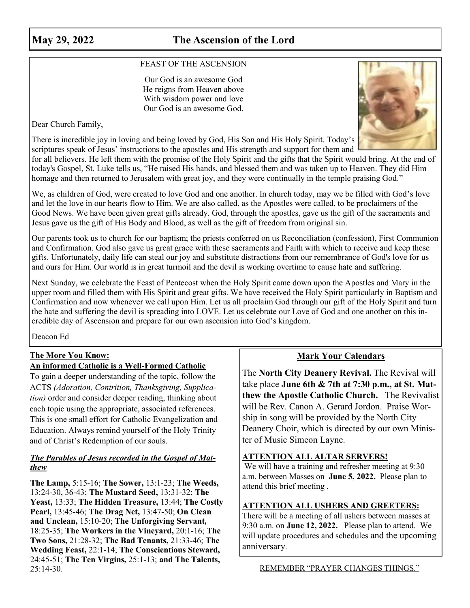### **May 29, 2022 The Ascension of the Lord**

#### FEAST OF THE ASCENSION

Our God is an awesome God He reigns from Heaven above With wisdom power and love Our God is an awesome God.

Dear Church Family,



There is incredible joy in loving and being loved by God, His Son and His Holy Spirit. Today's scriptures speak of Jesus' instructions to the apostles and His strength and support for them and

for all believers. He left them with the promise of the Holy Spirit and the gifts that the Spirit would bring. At the end of today's Gospel, St. Luke tells us, "He raised His hands, and blessed them and was taken up to Heaven. They did Him homage and then returned to Jerusalem with great joy, and they were continually in the temple praising God."

We, as children of God, were created to love God and one another. In church today, may we be filled with God's love and let the love in our hearts flow to Him. We are also called, as the Apostles were called, to be proclaimers of the Good News. We have been given great gifts already. God, through the apostles, gave us the gift of the sacraments and Jesus gave us the gift of His Body and Blood, as well as the gift of freedom from original sin.

Our parents took us to church for our baptism; the priests conferred on us Reconciliation (confession), First Communion and Confirmation. God also gave us great grace with these sacraments and Faith with which to receive and keep these gifts. Unfortunately, daily life can steal our joy and substitute distractions from our remembrance of God's love for us and ours for Him. Our world is in great turmoil and the devil is working overtime to cause hate and suffering.

Next Sunday, we celebrate the Feast of Pentecost when the Holy Spirit came down upon the Apostles and Mary in the upper room and filled them with His Spirit and great gifts. We have received the Holy Spirit particularly in Baptism and Confirmation and now whenever we call upon Him. Let us all proclaim God through our gift of the Holy Spirit and turn the hate and suffering the devil is spreading into LOVE. Let us celebrate our Love of God and one another on this incredible day of Ascension and prepare for our own ascension into God's kingdom.

Deacon Ed

#### **The More You Know:**

#### **An informed Catholic is a Well-Formed Catholic**

To gain a deeper understanding of the topic, follow the ACTS *(Adoration, Contrition, Thanksgiving, Supplication)* order and consider deeper reading, thinking about each topic using the appropriate, associated references. This is one small effort for Catholic Evangelization and Education. Always remind yourself of the Holy Trinity and of Christ's Redemption of our souls.

#### *The Parables of Jesus recorded in the Gospel of Matthew*

**The Lamp,** 5:15-16; **The Sower,** 13:1-23; **The Weeds,**  13:24-30, 36-43; **The Mustard Seed,** 13;31-32; **The Yeast,** 13:33; **The Hidden Treasure,** 13:44; **The Costly Pearl,** 13:45-46; **The Drag Net,** 13:47-50; **On Clean and Unclean,** 15:10-20; **The Unforgiving Servant***,*  18:25-35; **The Workers in the Vineyard,** 20:1-16; **The Two Sons,** 21:28-32; **The Bad Tenants,** 21:33-46; **The Wedding Feast,** 22:1-14; **The Conscientious Steward,**  24:45-51; **The Ten Virgins,** 25:1-13; **and The Talents,**  25:14-30.

#### **Mark Your Calendars**

The **North City Deanery Revival.** The Revival will take place **June 6th & 7th at 7:30 p.m., at St. Matthew the Apostle Catholic Church.** The Revivalist will be Rev. Canon A. Gerard Jordon. Praise Worship in song will be provided by the North City Deanery Choir, which is directed by our own Minister of Music Simeon Layne.

#### **ATTENTION ALL ALTAR SERVERS!**

We will have a training and refresher meeting at 9:30 a.m. between Masses on **June 5, 2022.** Please plan to attend this brief meeting .

#### **ATTENTION ALL USHERS AND GREETERS:**

There will be a meeting of all ushers between masses at 9:30 a.m. on **June 12, 2022.** Please plan to attend. We will update procedures and schedules and the upcoming anniversary.

REMEMBER "PRAYER CHANGES THINGS."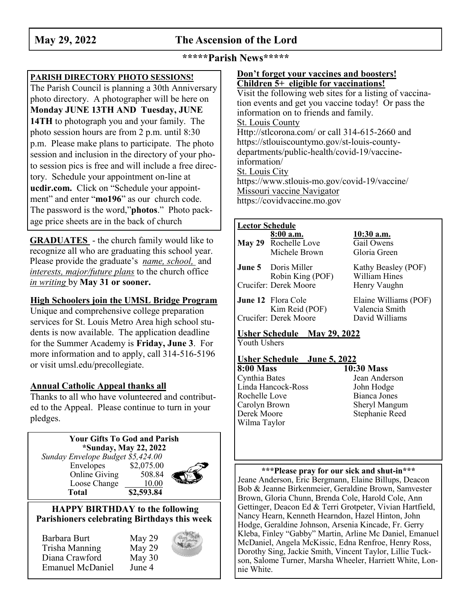## **May 29, 2022 The Ascension of the Lord**

#### **\*\*\*\*\*Parish News\*\*\*\*\***

#### **PARISH DIRECTORY PHOTO SESSIONS!**

The Parish Council is planning a 30th Anniversary photo directory. A photographer will be here on **Monday JUNE 13TH AND Tuesday, JUNE 14TH** to photograph you and your family. The photo session hours are from 2 p.m. until 8:30 p.m. Please make plans to participate. The photo session and inclusion in the directory of your photo session pics is free and will include a free directory. Schedule your appointment on-line at **ucdir.com.** Click on "Schedule your appointment" and enter "**mo196**" as our church code. The password is the word,"**photos**." Photo package price sheets are in the back of church

**GRADUATES** - the church family would like to recognize all who are graduating this school year. Please provide the graduate's *name, school,* and *interests, major/future plans* to the church office *in writing* by **May 31 or sooner.**

#### **High Schoolers join the UMSL Bridge Program**

Unique and comprehensive college preparation services for St. Louis Metro Area high school students is now available. The application deadline for the Summer Academy is **Friday, June 3**. For more information and to apply, call 314-516-5196 or visit umsl.edu/precollegiate.

#### **Annual Catholic Appeal thanks all**

Thanks to all who have volunteered and contributed to the Appeal. Please continue to turn in your pledges.

#### **Your Gifts To God and Parish \*Sunday, May 22, 2022**  *Sunday Envelope Budget \$5,424.00* Envelopes \$2,075.00 Online Giving 508.84

Loose Change 10.00 **Total \$2,593.84**

#### **HAPPY BIRTHDAY to the following Parishioners celebrating Birthdays this week**

| Barbara Burt            | May 29   |
|-------------------------|----------|
| Trisha Manning          | May 29   |
| Diana Crawford          | May $30$ |
| <b>Emanuel McDaniel</b> | June 4   |

#### **Don't forget your vaccines and boosters! Children 5+ eligible for vaccinations!**

Visit the following web sites for a listing of vaccination events and get you vaccine today! Or pass the information on to friends and family. St. Louis County Http://stlcorona.com/ or call 314-615-2660 and https://stlouiscountymo.gov/st-louis-countydepartments/public-health/covid-19/vaccineinformation/ St. Louis City https://www.stlouis-mo.gov/covid-19/vaccine/ Missouri vaccine Navigator https://covidvaccine.mo.gov

#### **Lector Schedule 8:00 a.m. 10:30 a.m. May 29** Rochelle Love Gail Owens Michele Brown Gloria Green

**June 5** Doris Miller Kathy Beasley (POF) Robin King (POF) William Hines Crucifer: Derek Moore Henry Vaughn

**June 12** Flora Cole Elaine Williams (POF)<br>Kim Reid (POF) Valencia Smith Kim Reid (POF) Crucifer: Derek Moore David Williams

#### **Usher Schedule May 29, 2022** Youth Ushers

#### **Usher Schedule June 5, 2022**

**8:00 Mass**<br>Cynthia Bates 10:30 Mass<br>Cynthia Bates Jean Ande Linda Hancock-Ross John Hodge Rochelle Love<br>
Carolyn Brown<br>
Carolyn Brown<br>
Sheryl Mangum Carolyn Brown Derek Moore Stephanie Reed Wilma Taylor

# Jean Anderson

**\*\*\*Please pray for our sick and shut-in\*\*\*** Jeane Anderson, Eric Bergmann, Elaine Billups, Deacon Bob & Jeanne Birkenmeier, Geraldine Brown, Samvester Brown, Gloria Chunn, Brenda Cole, Harold Cole, Ann Gettinger, Deacon Ed & Terri Grotpeter, Vivian Hartfield, Nancy Hearn, Kenneth Hearndon, Hazel Hinton, John Hodge, Geraldine Johnson, Arsenia Kincade, Fr. Gerry Kleba, Finley "Gabby" Martin, Arline Mc Daniel, Emanuel McDaniel, Angela McKissic, Edna Renfroe, Henry Ross, Dorothy Sing, Jackie Smith, Vincent Taylor, Lillie Tuckson, Salome Turner, Marsha Wheeler, Harriett White, Lonnie White.